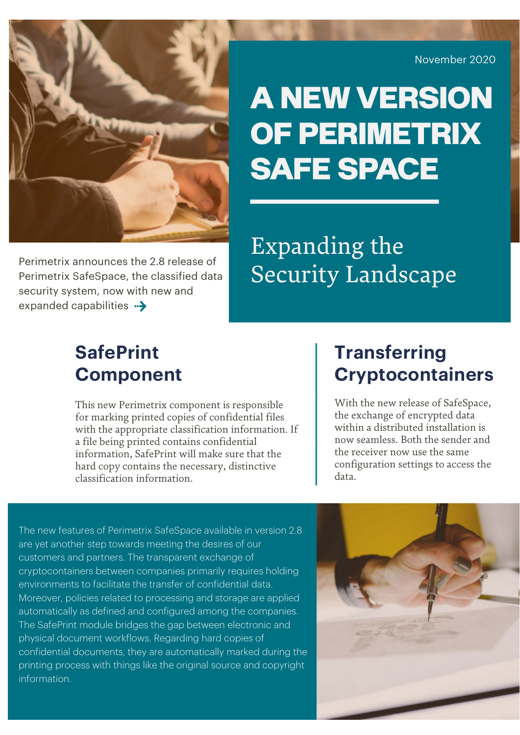Perimetrix announces the 2.8 release of **Security Landscape** Perimetrix SafeSpace, the classified data **Security Landscape** Perimetrix SafeSpace, the classified data security system, now with new and expanded capabilities  $\rightarrow$ 

November 2020

# A NEW VERSION OF PERIMETRIX SAFE SPACE

Expanding the

#### **SafePrint Component**

This new Perimetrix component is responsible for marking printed copies of confidential files with the appropriate classification information. If a file being printed contains confidential information, SafePrint will make sure that the hard copy contains the necessary, distinctive classification information.

#### **Transferring Cryptocontainers**

With the new release of SafeSpace, the exchange of encrypted data within a distributed installation is now seamless. Both the sender and the receiver now use the same configuration settings to access the data.

The new features of Perimetrix SafeSpace available in version 2.8 are yet another step towards meeting the desires of our customers and partners. The transparent exchange of cryptocontainers between companies primarily requires holding environments to facilitate the transfer of confidential data. Moreover, policies related to processing and storage are applied automatically as defined and configured among the companies. The SafePrint module bridges the gap between electronic and physical document workflows. Regarding hard copies of confidential documents, they are automatically marked during the printing process with things like the original source and copyright information.